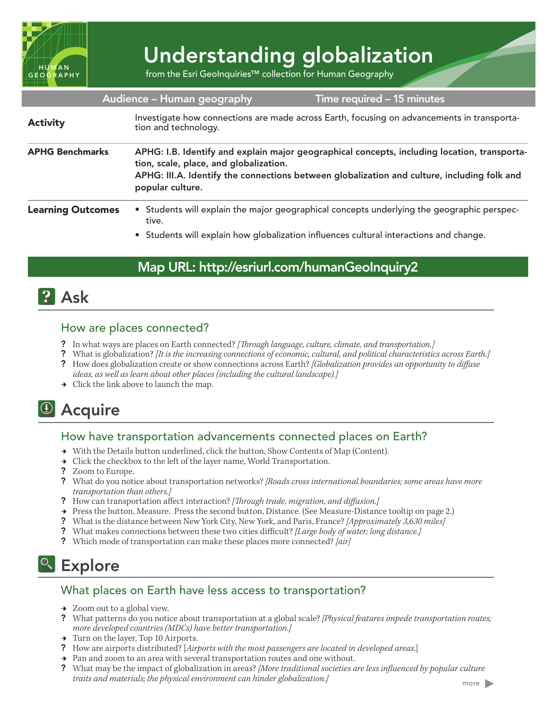

# Understanding globalization

from the Esri GeoInquiries™ collection for Human Geography

|                          | Audience - Human geography                                                                                                                                                                                                                                | Time required – 15 minutes                                                                                                                                                           |  |
|--------------------------|-----------------------------------------------------------------------------------------------------------------------------------------------------------------------------------------------------------------------------------------------------------|--------------------------------------------------------------------------------------------------------------------------------------------------------------------------------------|--|
| <b>Activity</b>          | Investigate how connections are made across Earth, focusing on advancements in transporta-<br>tion and technology.                                                                                                                                        |                                                                                                                                                                                      |  |
| <b>APHG Benchmarks</b>   | APHG: I.B. Identify and explain major geographical concepts, including location, transporta-<br>tion, scale, place, and globalization.<br>APHG: III.A. Identify the connections between globalization and culture, including folk and<br>popular culture. |                                                                                                                                                                                      |  |
| <b>Learning Outcomes</b> | tive.                                                                                                                                                                                                                                                     | • Students will explain the major geographical concepts underlying the geographic perspec-<br>• Students will explain how globalization influences cultural interactions and change. |  |

## Map URL: http://esriurl.com/humanGeoInquiry2

## **?** Ask

#### How are places connected?

- ? In what ways are places on Earth connected? *[Through language, culture, climate, and transportation.]*
- ? What is globalization? *[It is the increasing connections of economic, cultural, and political characteristics across Earth.]*
- ? How does globalization create or show connections across Earth? *[Globalization provides an opportunity to diffuse ideas, as well as learn about other places (including the cultural landscape).]*
- $\rightarrow$  Click the link above to launch the map.

# <sup>4</sup> Acquire

#### How have transportation advancements connected places on Earth?

- → With the Details button underlined, click the button, Show Contents of Map (Content).
- → Click the checkbox to the left of the layer name, World Transportation.
- ? Zoom to Europe.
- ? What do you notice about transportation networks? *[Roads cross international boundaries; some areas have more transportation than others.]*
- ? How can transportation affect interaction? *[Through trade, migration, and diffusion.]*
- ʅ Press the button, Measure. Press the second button, Distance. (See Measure-Distance tooltip on page 2.)
- ? What is the distance between New York City, New York, and Paris, France? *[Approximately 3,630 miles]*
- ? What makes connections between these two cities difficult? *[Large body of water; long distance.]*
- ? Which mode of transportation can make these places more connected? *[air]*

# <sup>Q</sup> Explore

#### What places on Earth have less access to transportation?

- $\rightarrow$  Zoom out to a global view.
- ? What patterns do you notice about transportation at a global scale? *[Physical features impede transportation routes; more developed countries (MDCs) have better transportation.]*
- **→** Turn on the layer, Top 10 Airports.
- ? How are airports distributed? [*Airports with the most passengers are located in developed areas.*]
- $\rightarrow$  Pan and zoom to an area with several transportation routes and one without.
- ? What may be the impact of globalization in areas? *[More traditional societies are less influenced by popular culture traits and materials; the physical environment can hinder globalization.]*